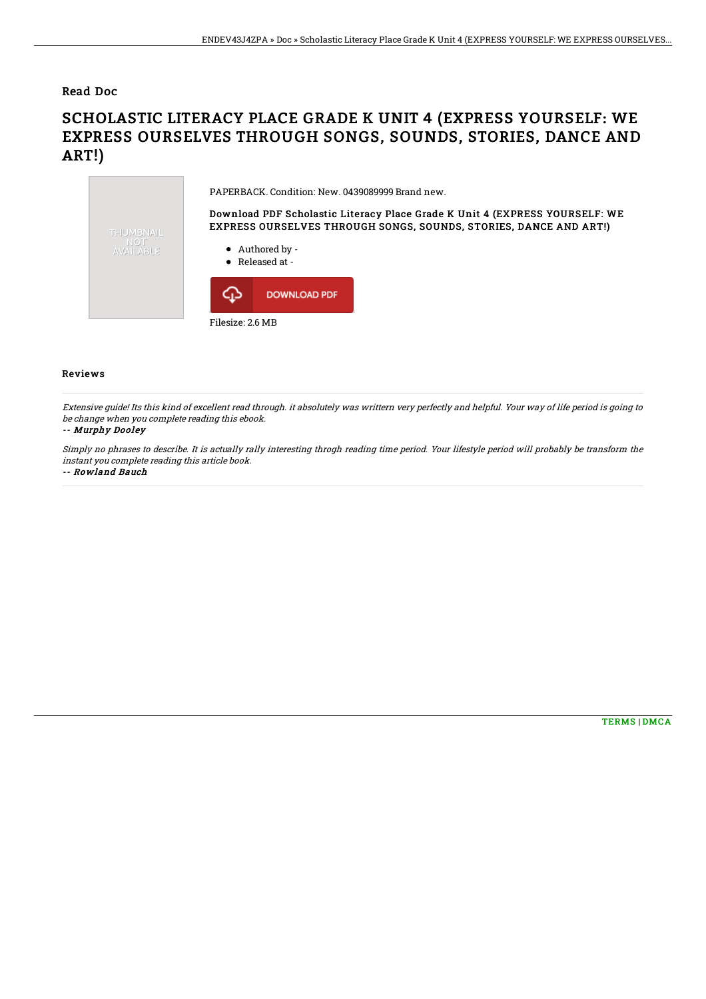### Read Doc

# SCHOLASTIC LITERACY PLACE GRADE K UNIT 4 (EXPRESS YOURSELF: WE EXPRESS OURSELVES THROUGH SONGS, SOUNDS, STORIES, DANCE AND ART!)



#### Reviews

Extensive guide! Its this kind of excellent read through. it absolutely was writtern very perfectly and helpful. Your way of life period is going to be change when you complete reading this ebook.

#### -- Murphy Dooley

Simply no phrases to describe. It is actually rally interesting throgh reading time period. Your lifestyle period will probably be transform the instant you complete reading this article book.

-- Rowland Bauch